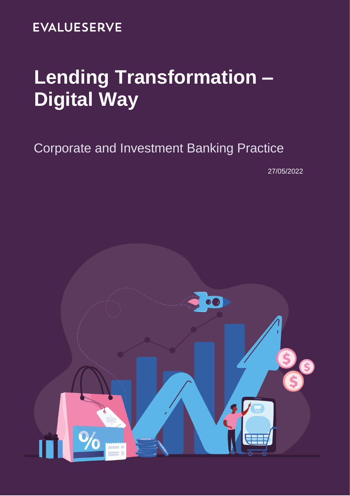# **EVALUESERVE**

# **Lending Transformation – Digital Way**

# Corporate and Investment Banking Practice

27/05/2022

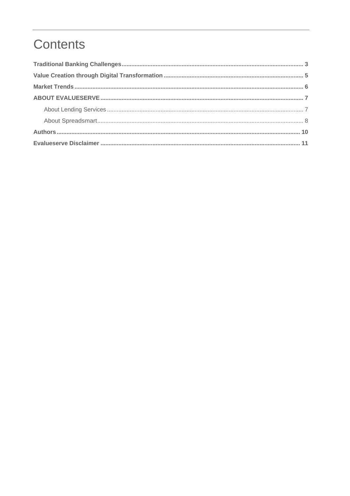# Contents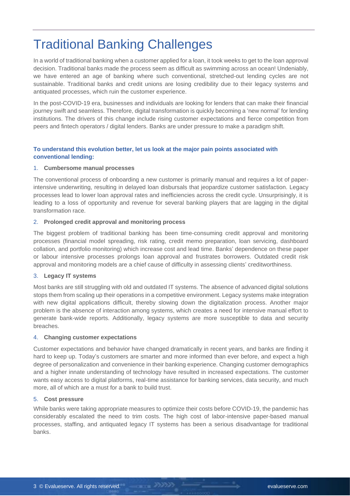## <span id="page-2-0"></span>Traditional Banking Challenges

In a world of traditional banking when a customer applied for a loan, it took weeks to get to the loan approval decision. Traditional banks made the process seem as difficult as swimming across an ocean! Undeniably, we have entered an age of banking where such conventional, stretched-out lending cycles are not sustainable. Traditional banks and credit unions are losing credibility due to their legacy systems and antiquated processes, which ruin the customer experience.

In the post-COVID-19 era, businesses and individuals are looking for lenders that can make their financial journey swift and seamless. Therefore, digital transformation is quickly becoming a 'new normal' for lending institutions. The drivers of this change include rising customer expectations and fierce competition from peers and fintech operators / digital lenders. Banks are under pressure to make a paradigm shift.

#### **To understand this evolution better, let us look at the major pain points associated with conventional lending:**

#### 1. **Cumbersome manual processes**

The conventional process of onboarding a new customer is primarily manual and requires a lot of paperintensive underwriting, resulting in delayed loan disbursals that jeopardize customer satisfaction. Legacy processes lead to lower loan approval rates and inefficiencies across the credit cycle. Unsurprisingly, it is leading to a loss of opportunity and revenue for several banking players that are lagging in the digital transformation race.

#### 2. **Prolonged credit approval and monitoring process**

The biggest problem of traditional banking has been time-consuming credit approval and monitoring processes (financial model spreading, risk rating, credit memo preparation, loan servicing, dashboard collation, and portfolio monitoring) which increase cost and lead time. Banks' dependence on these paper or labour intensive processes prolongs loan approval and frustrates borrowers. Outdated credit risk approval and monitoring models are a chief cause of difficulty in assessing clients' creditworthiness.

#### 3. **Legacy IT systems**

Most banks are still struggling with old and outdated IT systems. The absence of advanced digital solutions stops them from scaling up their operations in a competitive environment. Legacy systems make integration with new digital applications difficult, thereby slowing down the digitalization process. Another major problem is the absence of interaction among systems, which creates a need for intensive manual effort to generate bank-wide reports. Additionally, legacy systems are more susceptible to data and security breaches.

#### 4. **Changing customer expectations**

Customer expectations and behavior have changed dramatically in recent years, and banks are finding it hard to keep up. Today's customers are smarter and more informed than ever before, and expect a high degree of personalization and convenience in their banking experience. Changing customer demographics and a higher innate understanding of technology have resulted in increased expectations. The customer wants easy access to digital platforms, real-time assistance for banking services, data security, and much more, all of which are a must for a bank to build trust.

#### 5. **Cost pressure**

While banks were taking appropriate measures to optimize their costs before COVID-19, the pandemic has considerably escalated the need to trim costs. The high cost of labor-intensive paper-based manual processes, staffing, and antiquated legacy IT systems has been a serious disadvantage for traditional banks.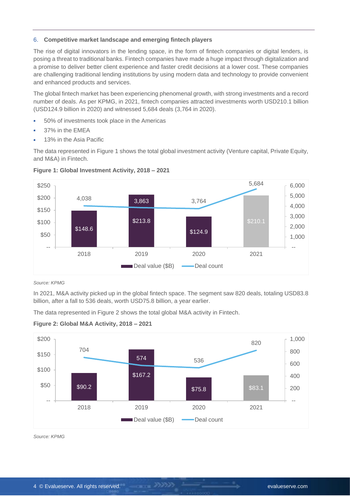#### 6. **Competitive market landscape and emerging fintech players**

The rise of digital innovators in the lending space, in the form of fintech companies or digital lenders, is posing a threat to traditional banks. Fintech companies have made a huge impact through digitalization and a promise to deliver better client experience and faster credit decisions at a lower cost. These companies are challenging traditional lending institutions by using modern data and technology to provide convenient and enhanced products and services.

The global fintech market has been experiencing phenomenal growth, with strong investments and a record number of deals. As per KPMG, in 2021, fintech companies attracted investments worth USD210.1 billion (USD124.9 billion in 2020) and witnessed 5,684 deals (3,764 in 2020).

- ö 50% of investments took place in the Americas
- 37% in the EMEA ٠
- 13% in the Asia Pacific

The data represented in Figure 1 shows the total global investment activity (Venture capital, Private Equity, and M&A) in Fintech.





#### *Source: KPMG*

In 2021, M&A activity picked up in the global fintech space. The segment saw 820 deals, totaling USD83.8 billion, after a fall to 536 deals, worth USD75.8 billion, a year earlier.

The data represented in Figure 2 shows the total global M&A activity in Fintech.





*Source: KPMG*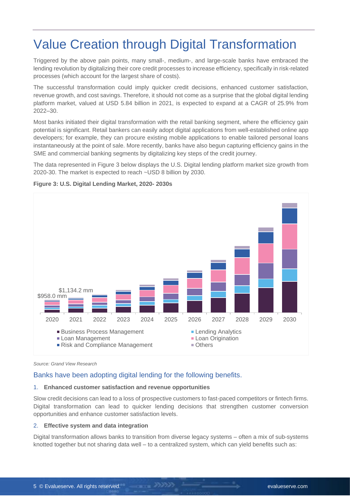# <span id="page-4-0"></span>Value Creation through Digital Transformation

Triggered by the above pain points, many small-, medium-, and large-scale banks have embraced the lending revolution by digitalizing their core credit processes to increase efficiency, specifically in risk-related processes (which account for the largest share of costs).

The successful transformation could imply quicker credit decisions, enhanced customer satisfaction, revenue growth, and cost savings. Therefore, it should not come as a surprise that the global digital lending platform market, valued at USD 5.84 billion in 2021, is expected to expand at a CAGR of 25.9% from 2022–30.

Most banks initiated their digital transformation with the retail banking segment, where the efficiency gain potential is significant. Retail bankers can easily adopt digital applications from well-established online app developers; for example, they can procure existing mobile applications to enable tailored personal loans instantaneously at the point of sale. More recently, banks have also begun capturing efficiency gains in the SME and commercial banking segments by digitalizing key steps of the credit journey.

The data represented in Figure 3 below displays the U.S. Digital lending platform market size growth from 2020-30. The market is expected to reach ~USD 8 billion by 2030.



#### **Figure 3: U.S. Digital Lending Market, 2020- 2030s**

*Source: Grand View Research*

#### Banks have been adopting digital lending for the following benefits.

#### 1. **Enhanced customer satisfaction and revenue opportunities**

Slow credit decisions can lead to a loss of prospective customers to fast-paced competitors or fintech firms. Digital transformation can lead to quicker lending decisions that strengthen customer conversion opportunities and enhance customer satisfaction levels.

#### 2. **Effective system and data integration**

Digital transformation allows banks to transition from diverse legacy systems – often a mix of sub-systems knotted together but not sharing data well – to a centralized system, which can yield benefits such as: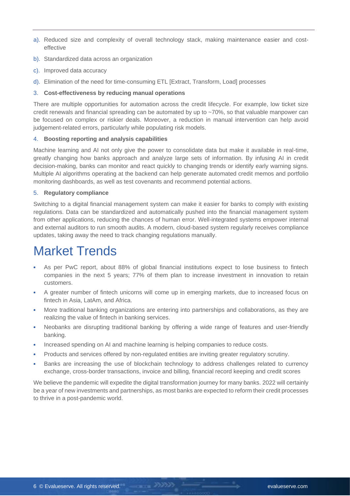- a). Reduced size and complexity of overall technology stack, making maintenance easier and costeffective
- b). Standardized data across an organization
- c). Improved data accuracy
- d). Elimination of the need for time-consuming ETL [Extract, Transform, Load] processes

#### 3. **Cost-effectiveness by reducing manual operations**

There are multiple opportunities for automation across the credit lifecycle. For example, low ticket size credit renewals and financial spreading can be automated by up to ~70%, so that valuable manpower can be focused on complex or riskier deals. Moreover, a reduction in manual intervention can help avoid judgement-related errors, particularly while populating risk models.

#### 4. **Boosting reporting and analysis capabilities**

Machine learning and AI not only give the power to consolidate data but make it available in real-time, greatly changing how banks approach and analyze large sets of information. By infusing AI in credit decision-making, banks can monitor and react quickly to changing trends or identify early warning signs. Multiple AI algorithms operating at the backend can help generate automated credit memos and portfolio monitoring dashboards, as well as test covenants and recommend potential actions.

#### 5. **Regulatory compliance**

Switching to a digital financial management system can make it easier for banks to comply with existing regulations. Data can be standardized and automatically pushed into the financial management system from other applications, reducing the chances of human error. Well-integrated systems empower internal and external auditors to run smooth audits. A modern, cloud-based system regularly receives compliance updates, taking away the need to track changing regulations manually.

### <span id="page-5-0"></span>Market Trends

- As per PwC report, about 88% of global financial institutions expect to lose business to fintech companies in the next 5 years; 77% of them plan to increase investment in innovation to retain customers.
- A greater number of fintech unicorns will come up in emerging markets, due to increased focus on fintech in Asia, LatAm, and Africa.
- More traditional banking organizations are entering into partnerships and collaborations, as they are ٠ realizing the value of fintech in banking services.
- Neobanks are disrupting traditional banking by offering a wide range of features and user-friendly a. banking.
- Increased spending on AI and machine learning is helping companies to reduce costs.
- Products and services offered by non-regulated entities are inviting greater regulatory scrutiny.  $\bullet$
- Banks are increasing the use of blockchain technology to address challenges related to currency exchange, cross-border transactions, invoice and billing, financial record keeping and credit scores

We believe the pandemic will expedite the digital transformation journey for many banks. 2022 will certainly be a year of new investments and partnerships, as most banks are expected to reform their credit processes to thrive in a post-pandemic world.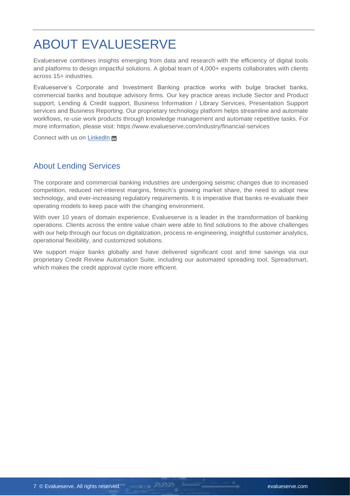# <span id="page-6-0"></span>ABOUT EVALUESERVE

Evalueserve combines insights emerging from data and research with the efficiency of digital tools and platforms to design impactful solutions. A global team of 4,000+ experts collaborates with clients across 15+ industries.

Evalueserve's Corporate and Investment Banking practice works with bulge bracket banks, commercial banks and boutique advisory firms. Our key practice areas include Sector and Product support, Lending & Credit support, Business Information / Library Services, Presentation Support services and Business Reporting. Our proprietary technology platform helps streamline and automate workflows, re-use work products through knowledge management and automate repetitive tasks. For more information, please visit: https://www.evalueserve.com/industry/financial-services

Connect with us on [LinkedIn](https://www.linkedin.com/company/evalueserve/) m

### <span id="page-6-1"></span>About Lending Services

The corporate and commercial banking industries are undergoing seismic changes due to increased competition, reduced net-interest margins, fintech's growing market share, the need to adopt new technology, and ever-increasing regulatory requirements. It is imperative that banks re-evaluate their operating models to keep pace with the changing environment.

With over 10 years of domain experience, Evalueserve is a leader in the transformation of banking operations. Clients across the entire value chain were able to find solutions to the above challenges with our help through our focus on digitalization, process re-engineering, insightful customer analytics, operational flexibility, and customized solutions.

We support major banks globally and have delivered significant cost and time savings via our proprietary Credit Review Automation Suite, including our automated spreading tool, Spreadsmart, which makes the credit approval cycle more efficient.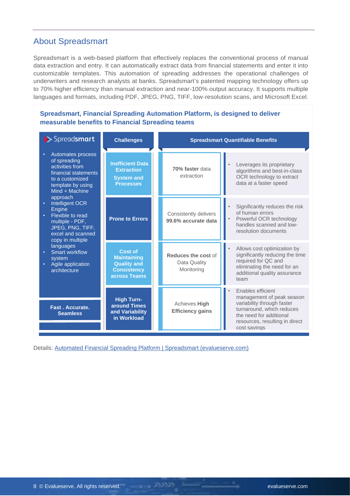### <span id="page-7-0"></span>About Spreadsmart

Spreadsmart is a web-based platform that effectively replaces the conventional process of manual data extraction and entry. It can automatically extract data from financial statements and enter it into customizable templates. This automation of spreading addresses the operational challenges of underwriters and research analysts at banks. Spreadsmart's patented mapping technology offers up to 70% higher efficiency than manual extraction and near-100% output accuracy. It supports multiple languages and formats, including PDF, JPEG, PNG, TIFF, low-resolution scans, and Microsoft Excel.

#### **Spreadsmart, Financial Spreading Automation Platform, is designed to deliver measurable benefits to Financial Spreading teams**

| > Spreadsmart                                                                                                                                                                                                                                                                                                                                                     | <b>Challenges</b>                                                                                |                                                   | <b>Spreadsmart Quantifiable Benefits</b>                                                                                                                                               |
|-------------------------------------------------------------------------------------------------------------------------------------------------------------------------------------------------------------------------------------------------------------------------------------------------------------------------------------------------------------------|--------------------------------------------------------------------------------------------------|---------------------------------------------------|----------------------------------------------------------------------------------------------------------------------------------------------------------------------------------------|
| Automates process<br>of spreading<br>activities from<br>financial statements<br>to a customized<br>template by using<br>Mind + Machine<br>approach<br>Intelligent OCR<br>Engine<br>Flexible to read<br>multiple - PDF,<br>JPEG, PNG, TIFF,<br>excel and scanned<br>copy in multiple<br>languages<br>Smart workflow<br>system<br>Agile application<br>architecture | <b>Inefficient Data</b><br><b>Extraction</b><br><b>System and</b><br><b>Processes</b>            | 70% faster data<br>extraction                     | Leverages its proprietary<br>$\bullet$<br>algorithms and best-in-class<br>OCR technology to extract<br>data at a faster speed                                                          |
|                                                                                                                                                                                                                                                                                                                                                                   | <b>Prone to Errors</b>                                                                           | Consistently delivers<br>99.6% accurate data      | Significantly reduces the risk<br>$\bullet$<br>of human errors<br>Powerful OCR technology<br>$\bullet$<br>handles scanned and low-<br>resolution documents                             |
|                                                                                                                                                                                                                                                                                                                                                                   | <b>Cost of</b><br><b>Maintaining</b><br><b>Quality and</b><br><b>Consistency</b><br>across Teams | Reduces the cost of<br>Data Quality<br>Monitoring | Allows cost optimization by<br>$\bullet$<br>significantly reducing the time<br>required for QC and<br>eliminating the need for an<br>additional quality assurance<br>team              |
| Fast. Accurate.<br><b>Seamless</b>                                                                                                                                                                                                                                                                                                                                | <b>High Turn-</b><br>around Times<br>and Variability<br>in Workload                              | Achieves High<br><b>Efficiency gains</b>          | Enables efficient<br>management of peak season<br>variability through faster<br>turnaround, which reduces<br>the need for additional<br>resources, resulting in direct<br>cost savings |

Details: [Automated Financial Spreading Platform | Spreadsmart \(evalueserve.com\)](https://www.evalueserve.com/product/automated-financial-spreading-platform-spreadsmart/)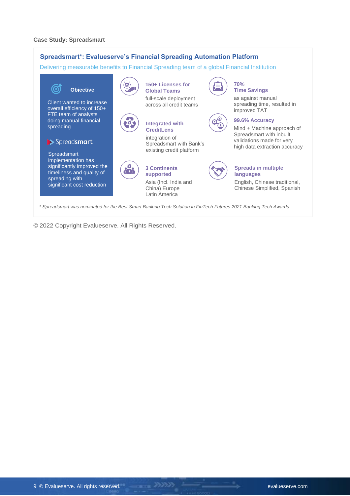#### **Case Study: Spreadsmart**



© 2022 Copyright Evalueserve. All Rights Reserved.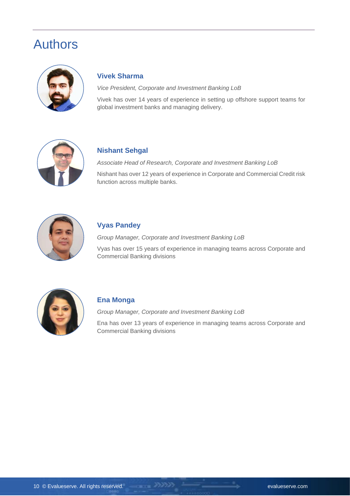### <span id="page-9-0"></span>Authors



### **Vivek Sharma**

*Vice President, Corporate and Investment Banking LoB*

Vivek has over 14 years of experience in setting up offshore support teams for global investment banks and managing delivery.



### **Nishant Sehgal**

*Associate Head of Research, Corporate and Investment Banking LoB*

Nishant has over 12 years of experience in Corporate and Commercial Credit risk function across multiple banks.



### **Vyas Pandey**

*Group Manager, Corporate and Investment Banking LoB*

Vyas has over 15 years of experience in managing teams across Corporate and Commercial Banking divisions



### **Ena Monga**

*Group Manager, Corporate and Investment Banking LoB*

Ena has over 13 years of experience in managing teams across Corporate and Commercial Banking divisions